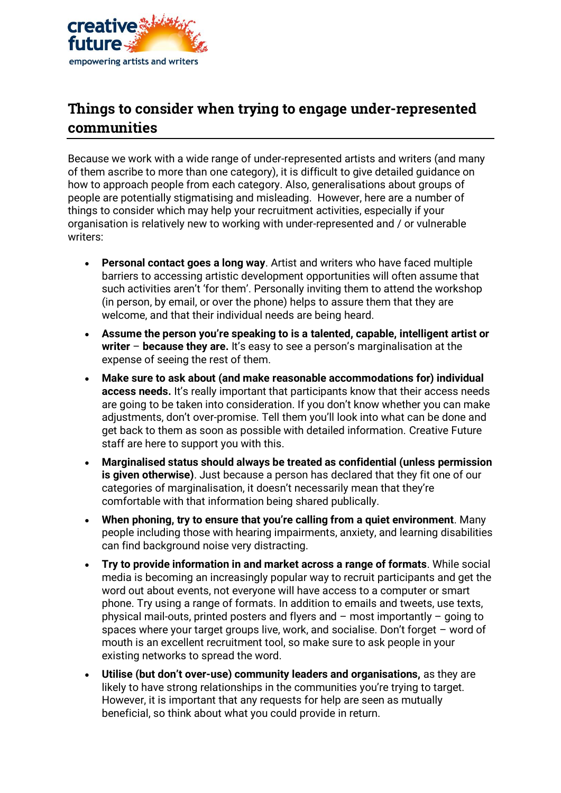

## **Things to consider when trying to engage under-represented communities**

Because we work with a wide range of under-represented artists and writers (and many of them ascribe to more than one category), it is difficult to give detailed guidance on how to approach people from each category. Also, generalisations about groups of people are potentially stigmatising and misleading. However, here are a number of things to consider which may help your recruitment activities, especially if your organisation is relatively new to working with under-represented and / or vulnerable writers:

- **Personal contact goes a long way**. Artist and writers who have faced multiple barriers to accessing artistic development opportunities will often assume that such activities aren't 'for them'. Personally inviting them to attend the workshop (in person, by email, or over the phone) helps to assure them that they are welcome, and that their individual needs are being heard.
- **Assume the person you're speaking to is a talented, capable, intelligent artist or writer** – **because they are.** It's easy to see a person's marginalisation at the expense of seeing the rest of them.
- **Make sure to ask about (and make reasonable accommodations for) individual access needs.** It's really important that participants know that their access needs are going to be taken into consideration. If you don't know whether you can make adjustments, don't over-promise. Tell them you'll look into what can be done and get back to them as soon as possible with detailed information. Creative Future staff are here to support you with this.
- **Marginalised status should always be treated as confidential (unless permission is given otherwise)**. Just because a person has declared that they fit one of our categories of marginalisation, it doesn't necessarily mean that they're comfortable with that information being shared publically.
- **When phoning, try to ensure that you're calling from a quiet environment**. Many people including those with hearing impairments, anxiety, and learning disabilities can find background noise very distracting.
- **Try to provide information in and market across a range of formats**. While social media is becoming an increasingly popular way to recruit participants and get the word out about events, not everyone will have access to a computer or smart phone. Try using a range of formats. In addition to emails and tweets, use texts, physical mail-outs, printed posters and flyers and – most importantly – going to spaces where your target groups live, work, and socialise. Don't forget – word of mouth is an excellent recruitment tool, so make sure to ask people in your existing networks to spread the word.
- **Utilise (but don't over-use) community leaders and organisations,** as they are likely to have strong relationships in the communities you're trying to target. However, it is important that any requests for help are seen as mutually beneficial, so think about what you could provide in return.